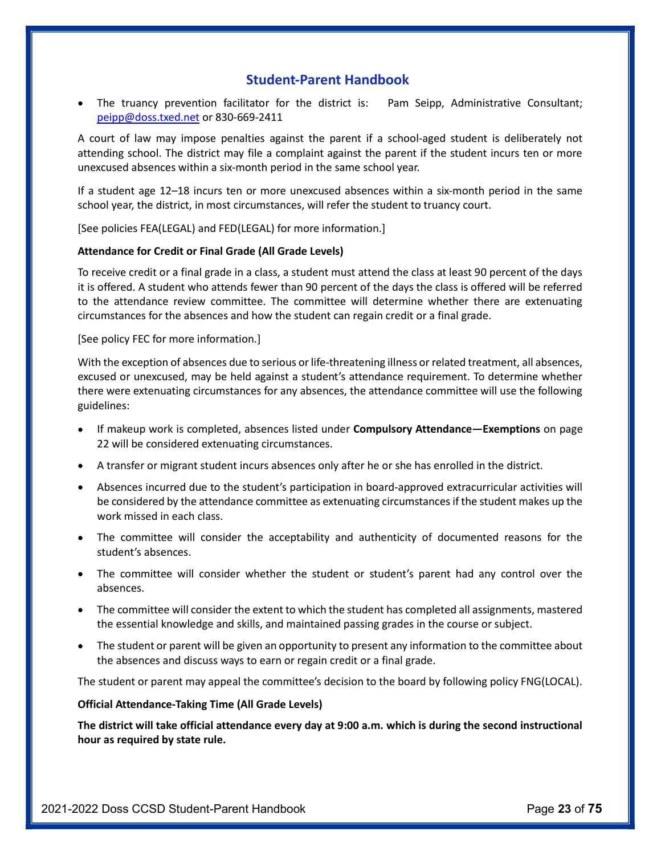# Student-Parent Handbook

The truancy prevention facilitator for the district is: Pam Seipp, Administrative Consultant; peipp@doss.txed.net or 830-669-2411

A court of law may impose penalties against the parent if a school-aged student is deliberately not attending school. The district may file a complaint against the parent if the student incurs ten or more unexcused absences within a six-month period in the same school year.

If a student age 12–18 incurs ten or more unexcused absences within a six-month period in the same school year, the district, in most circumstances, will refer the student to truancy court.

[See policies FEA(LEGAL) and FED(LEGAL) for more information.]

# Attendance for Credit or Final Grade (All Grade Levels)

To receive credit or a final grade in a class, a student must attend the class at least 90 percent of the days it is offered. A student who attends fewer than 90 percent of the days the class is offered will be referred to the attendance review committee. The committee will determine whether there are extenuating circumstances for the absences and how the student can regain credit or a final grade.

[See policy FEC for more information.]

With the exception of absences due to serious or life-threatening illness or related treatment, all absences, excused or unexcused, may be held against a student's attendance requirement. To determine whether there were extenuating circumstances for any absences, the attendance committee will use the following guidelines:

- If makeup work is completed, absences listed under Compulsory Attendance—Exemptions on page 22 will be considered extenuating circumstances.
- A transfer or migrant student incurs absences only after he or she has enrolled in the district.
- Absences incurred due to the student's participation in board-approved extracurricular activities will be considered by the attendance committee as extenuating circumstances if the student makes up the work missed in each class.
- The committee will consider the acceptability and authenticity of documented reasons for the student's absences.
- The committee will consider whether the student or student's parent had any control over the absences.
- The committee will consider the extent to which the student has completed all assignments, mastered the essential knowledge and skills, and maintained passing grades in the course or subject.
- The student or parent will be given an opportunity to present any information to the committee about the absences and discuss ways to earn or regain credit or a final grade.

The student or parent may appeal the committee's decision to the board by following policy FNG(LOCAL).

#### Official Attendance-Taking Time (All Grade Levels)

The district will take official attendance every day at 9:00 a.m. which is during the second instructional hour as required by state rule.